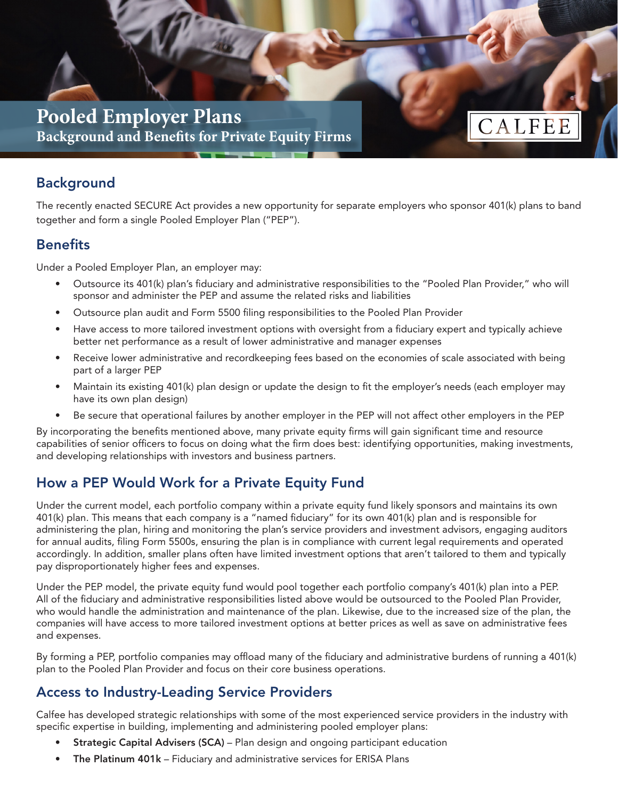

# **Background**

The recently enacted SECURE Act provides a new opportunity for separate employers who sponsor 401(k) plans to band together and form a single Pooled Employer Plan ("PEP").

#### **Benefits**

Under a Pooled Employer Plan, an employer may:

- Outsource its 401(k) plan's fiduciary and administrative responsibilities to the "Pooled Plan Provider," who will sponsor and administer the PEP and assume the related risks and liabilities
- Outsource plan audit and Form 5500 filing responsibilities to the Pooled Plan Provider
- Have access to more tailored investment options with oversight from a fiduciary expert and typically achieve better net performance as a result of lower administrative and manager expenses
- Receive lower administrative and recordkeeping fees based on the economies of scale associated with being part of a larger PEP
- Maintain its existing 401(k) plan design or update the design to fit the employer's needs (each employer may have its own plan design)
- Be secure that operational failures by another employer in the PEP will not affect other employers in the PEP

By incorporating the benefits mentioned above, many private equity firms will gain significant time and resource capabilities of senior officers to focus on doing what the firm does best: identifying opportunities, making investments, and developing relationships with investors and business partners.

## How a PEP Would Work for a Private Equity Fund

Under the current model, each portfolio company within a private equity fund likely sponsors and maintains its own 401(k) plan. This means that each company is a "named fiduciary" for its own 401(k) plan and is responsible for administering the plan, hiring and monitoring the plan's service providers and investment advisors, engaging auditors for annual audits, filing Form 5500s, ensuring the plan is in compliance with current legal requirements and operated accordingly. In addition, smaller plans often have limited investment options that aren't tailored to them and typically pay disproportionately higher fees and expenses.

Under the PEP model, the private equity fund would pool together each portfolio company's 401(k) plan into a PEP. All of the fiduciary and administrative responsibilities listed above would be outsourced to the Pooled Plan Provider, who would handle the administration and maintenance of the plan. Likewise, due to the increased size of the plan, the companies will have access to more tailored investment options at better prices as well as save on administrative fees and expenses.

By forming a PEP, portfolio companies may offload many of the fiduciary and administrative burdens of running a 401(k) plan to the Pooled Plan Provider and focus on their core business operations.

## Access to Industry-Leading Service Providers

Calfee has developed strategic relationships with some of the most experienced service providers in the industry with specific expertise in building, implementing and administering pooled employer plans:

- Strategic Capital Advisers (SCA) Plan design and ongoing participant education
- The Platinum 401k Fiduciary and administrative services for ERISA Plans